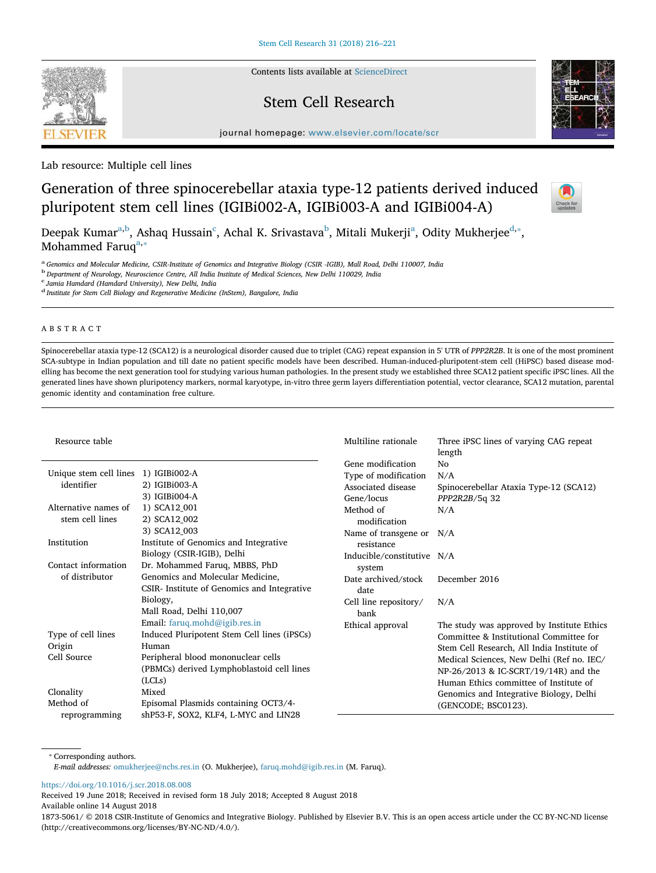Contents lists available at ScienceDirect

# Stem Cell Research

journal homepage: www.elsevier.com/locate/scr

Lab resource: Multiple cell lines

# Generation of three spinocerebellar ataxia type-12 patients derived induced pluripotent stem cell lines (IGIBi002-A, IGIBi003-A and IGIBi004-A)

Deepak Kumar $^{\rm a,b}$ , Ashaq Hussain $^{\rm c}$ , Achal K. Srivastava $^{\rm b}$ , Mitali Mukerji $^{\rm a}$ , Odity Mukherjee $^{\rm d, *},$ Mohammed Faruq<sup>a, $\overline{a}$ </sup>

a *Genomics and Molecular Medicine, CSIR-Institute of Genomics and Integrative Biology (CSIR -IGIB), Mall Road, Delhi 110007, India*

b *Department of Neurology, Neuroscience Centre, All India Institute of Medical Sciences, New Delhi 110029, India*

c *Jamia Hamdard (Hamdard University), New Delhi, India*

d *Institute for Stem Cell Biology and Regenerative Medicine (InStem), Bangalore, India*

# ABSTRACT

Spinocerebellar ataxia type-12 (SCA12) is a neurological disorder caused due to triplet (CAG) repeat expansion in 5' UTR of *PPP2R2B*. It is one of the most prominent SCA-subtype in Indian population and till date no patient specific models have been described. Human-induced-pluripotent-stem cell (HiPSC) based disease modelling has become the next generation tool for studying various human pathologies. In the present study we established three SCA12 patient specific iPSC lines. All the generated lines have shown pluripotency markers, normal karyotype, in-vitro three germ layers differentiation potential, vector clearance, SCA12 mutation, parental genomic identity and contamination free culture.

| Resource table                                                        |                                                                                                                                                                                                                                     | Multiline rationale                                                                                  | Three iPSC lines of varying CAG repeat<br>length                                                                                                                                                                                                                                                                                     |
|-----------------------------------------------------------------------|-------------------------------------------------------------------------------------------------------------------------------------------------------------------------------------------------------------------------------------|------------------------------------------------------------------------------------------------------|--------------------------------------------------------------------------------------------------------------------------------------------------------------------------------------------------------------------------------------------------------------------------------------------------------------------------------------|
| Unique stem cell lines<br>identifier<br>Alternative names of          | 1) IGIBi002-A<br>2) IGIBi003-A<br>3) IGIBi004-A<br>1) SCA12 001                                                                                                                                                                     | Gene modification<br>Type of modification<br>Associated disease<br>Gene/locus<br>Method of           | No<br>N/A<br>Spinocerebellar Ataxia Type-12 (SCA12)<br>$PPP2R2B/5q$ 32<br>N/A                                                                                                                                                                                                                                                        |
| stem cell lines<br>Institution                                        | 2) SCA12 002<br>3) SCA12 003<br>Institute of Genomics and Integrative                                                                                                                                                               | modification<br>Name of transgene or N/A<br>resistance                                               |                                                                                                                                                                                                                                                                                                                                      |
| Contact information<br>of distributor                                 | Biology (CSIR-IGIB), Delhi<br>Dr. Mohammed Faruq, MBBS, PhD<br>Genomics and Molecular Medicine,<br>CSIR-Institute of Genomics and Integrative<br>Biology,<br>Mall Road, Delhi 110,007                                               | Inducible/constitutive N/A<br>system<br>Date archived/stock<br>date<br>Cell line repository/<br>bank | December 2016<br>N/A                                                                                                                                                                                                                                                                                                                 |
| Type of cell lines<br>Origin<br>Cell Source<br>Clonality<br>Method of | Email: faruq.mohd@igib.res.in<br>Induced Pluripotent Stem Cell lines (iPSCs)<br>Human<br>Peripheral blood mononuclear cells<br>(PBMCs) derived Lymphoblastoid cell lines<br>(LCLs)<br>Mixed<br>Episomal Plasmids containing OCT3/4- | Ethical approval                                                                                     | The study was approved by Institute Ethics<br>Committee & Institutional Committee for<br>Stem Cell Research, All India Institute of<br>Medical Sciences, New Delhi (Ref no. IEC/<br>NP-26/2013 & IC-SCRT/19/14R) and the<br>Human Ethics committee of Institute of<br>Genomics and Integrative Biology, Delhi<br>(GENCODE; BSC0123). |

⁎ Corresponding authors.

reprogramming

*E-mail addresses:* omukherjee@ncbs.res.in (O. Mukherjee), faruq.mohd@igib.res.in (M. Faruq).

shP53-F, SOX2, KLF4, L-MYC and LIN28

https://doi.org/10.1016/j.scr.2018.08.008

Received 19 June 2018; Received in revised form 18 July 2018; Accepted 8 August 2018 Available online 14 August 2018

1873-5061/ © 2018 CSIR-Institute of Genomics and Integrative Biology. Published by Elsevier B.V. This is an open access article under the CC BY-NC-ND license (http://creativecommons.org/licenses/BY-NC-ND/4.0/).





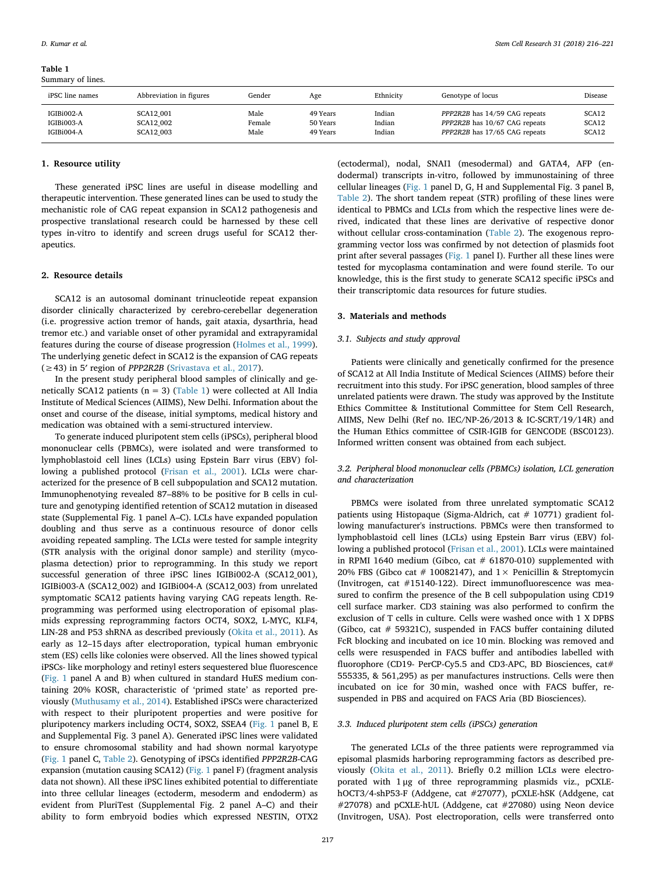Table 1 Summary of lines.

*D. Kumar et al. Stem Cell Research 31 (2018) 216–221*

| $-$<br>$\cdots$                        |                                                   |                        |                                  |                            |                                                                                                 |                         |
|----------------------------------------|---------------------------------------------------|------------------------|----------------------------------|----------------------------|-------------------------------------------------------------------------------------------------|-------------------------|
| iPSC line names                        | Abbreviation in figures                           | Gender                 | Age                              | Ethnicity                  | Genotype of locus                                                                               | Disease                 |
| IGIBi002-A<br>IGIBi003-A<br>IGIBi004-A | <b>SCA12 001</b><br><b>SCA12 002</b><br>SCA12 003 | Male<br>Female<br>Male | 49 Years<br>50 Years<br>49 Years | Indian<br>Indian<br>Indian | PPP2R2B has 14/59 CAG repeats<br>PPP2R2B has 10/67 CAG repeats<br>PPP2R2B has 17/65 CAG repeats | SCA12<br>SCA12<br>SCA12 |
|                                        |                                                   |                        |                                  |                            |                                                                                                 |                         |

#### 1. Resource utility

These generated iPSC lines are useful in disease modelling and therapeutic intervention. These generated lines can be used to study the mechanistic role of CAG repeat expansion in SCA12 pathogenesis and prospective translational research could be harnessed by these cell types in-vitro to identify and screen drugs useful for SCA12 therapeutics.

#### 2. Resource details

SCA12 is an autosomal dominant trinucleotide repeat expansion disorder clinically characterized by cerebro-cerebellar degeneration (i.e. progressive action tremor of hands, gait ataxia, dysarthria, head tremor etc.) and variable onset of other pyramidal and extrapyramidal features during the course of disease progression (Holmes et al., 1999). The underlying genetic defect in SCA12 is the expansion of CAG repeats (≥43) in 5′ region of *PPP2R2B* (Srivastava et al., 2017).

In the present study peripheral blood samples of clinically and genetically SCA12 patients ( $n = 3$ ) (Table 1) were collected at All India Institute of Medical Sciences (AIIMS), New Delhi. Information about the onset and course of the disease, initial symptoms, medical history and medication was obtained with a semi-structured interview.

To generate induced pluripotent stem cells (iPSCs), peripheral blood mononuclear cells (PBMCs), were isolated and were transformed to lymphoblastoid cell lines (LCLs) using Epstein Barr virus (EBV) following a published protocol (Frisan et al., 2001). LCLs were characterized for the presence of B cell subpopulation and SCA12 mutation. Immunophenotying revealed 87–88% to be positive for B cells in culture and genotyping identified retention of SCA12 mutation in diseased state (Supplemental Fig. 1 panel A–C). LCLs have expanded population doubling and thus serve as a continuous resource of donor cells avoiding repeated sampling. The LCLs were tested for sample integrity (STR analysis with the original donor sample) and sterility (mycoplasma detection) prior to reprogramming. In this study we report successful generation of three iPSC lines IGIBi002-A (SCA12\_001), IGIBi003-A (SCA12\_002) and IGIBi004-A (SCA12\_003) from unrelated symptomatic SCA12 patients having varying CAG repeats length. Reprogramming was performed using electroporation of episomal plasmids expressing reprogramming factors OCT4, SOX2, L-MYC, KLF4, LIN-28 and P53 shRNA as described previously (Okita et al., 2011). As early as 12–15 days after electroporation, typical human embryonic stem (ES) cells like colonies were observed. All the lines showed typical iPSCs- like morphology and retinyl esters sequestered blue fluorescence (Fig. 1 panel A and B) when cultured in standard HuES medium containing 20% KOSR, characteristic of 'primed state' as reported previously (Muthusamy et al., 2014). Established iPSCs were characterized with respect to their pluripotent properties and were positive for pluripotency markers including OCT4, SOX2, SSEA4 (Fig. 1 panel B, E and Supplemental Fig. 3 panel A). Generated iPSC lines were validated to ensure chromosomal stability and had shown normal karyotype (Fig. 1 panel C, Table 2). Genotyping of iPSCs identified *PPP2R2B*-CAG expansion (mutation causing SCA12) (Fig. 1 panel F) (fragment analysis data not shown). All these iPSC lines exhibited potential to differentiate into three cellular lineages (ectoderm, mesoderm and endoderm) as evident from PluriTest (Supplemental Fig. 2 panel A–C) and their ability to form embryoid bodies which expressed NESTIN, OTX2

(ectodermal), nodal, SNAI1 (mesodermal) and GATA4, AFP (endodermal) transcripts in-vitro, followed by immunostaining of three cellular lineages (Fig. 1 panel D, G, H and Supplemental Fig. 3 panel B, Table 2). The short tandem repeat (STR) profiling of these lines were identical to PBMCs and LCLs from which the respective lines were derived, indicated that these lines are derivative of respective donor without cellular cross-contamination (Table 2). The exogenous reprogramming vector loss was confirmed by not detection of plasmids foot print after several passages (Fig. 1 panel I). Further all these lines were tested for mycoplasma contamination and were found sterile. To our knowledge, this is the first study to generate SCA12 specific iPSCs and their transcriptomic data resources for future studies.

## 3. Materials and methods

## *3.1. Subjects and study approval*

Patients were clinically and genetically confirmed for the presence of SCA12 at All India Institute of Medical Sciences (AIIMS) before their recruitment into this study. For iPSC generation, blood samples of three unrelated patients were drawn. The study was approved by the Institute Ethics Committee & Institutional Committee for Stem Cell Research, AIIMS, New Delhi (Ref no. IEC/NP-26/2013 & IC-SCRT/19/14R) and the Human Ethics committee of CSIR-IGIB for GENCODE (BSC0123). Informed written consent was obtained from each subject.

## *3.2. Peripheral blood mononuclear cells (PBMCs) isolation, LCL generation and characterization*

PBMCs were isolated from three unrelated symptomatic SCA12 patients using Histopaque (Sigma-Aldrich, cat # 10771) gradient following manufacturer's instructions. PBMCs were then transformed to lymphoblastoid cell lines (LCLs) using Epstein Barr virus (EBV) following a published protocol (Frisan et al., 2001). LCLs were maintained in RPMI 1640 medium (Gibco, cat  $#$  61870-010) supplemented with 20% FBS (Gibco cat # 10082147), and  $1 \times$  Penicillin & Streptomycin (Invitrogen, cat #15140-122). Direct immunofluorescence was measured to confirm the presence of the B cell subpopulation using CD19 cell surface marker. CD3 staining was also performed to confirm the exclusion of T cells in culture. Cells were washed once with 1 X DPBS (Gibco, cat # 59321C), suspended in FACS buffer containing diluted FcR blocking and incubated on ice 10 min. Blocking was removed and cells were resuspended in FACS buffer and antibodies labelled with fluorophore (CD19- PerCP-Cy5.5 and CD3-APC, BD Biosciences, cat# 555335, & 561,295) as per manufactures instructions. Cells were then incubated on ice for 30 min, washed once with FACS buffer, resuspended in PBS and acquired on FACS Aria (BD Biosciences).

## *3.3. Induced pluripotent stem cells (iPSCs) generation*

The generated LCLs of the three patients were reprogrammed via episomal plasmids harboring reprogramming factors as described previously (Okita et al., 2011). Briefly 0.2 million LCLs were electroporated with 1 μg of three reprogramming plasmids viz., pCXLEhOCT3/4-shP53-F (Addgene, cat #27077), pCXLE-hSK (Addgene, cat #27078) and pCXLE-hUL (Addgene, cat #27080) using Neon device (Invitrogen, USA). Post electroporation, cells were transferred onto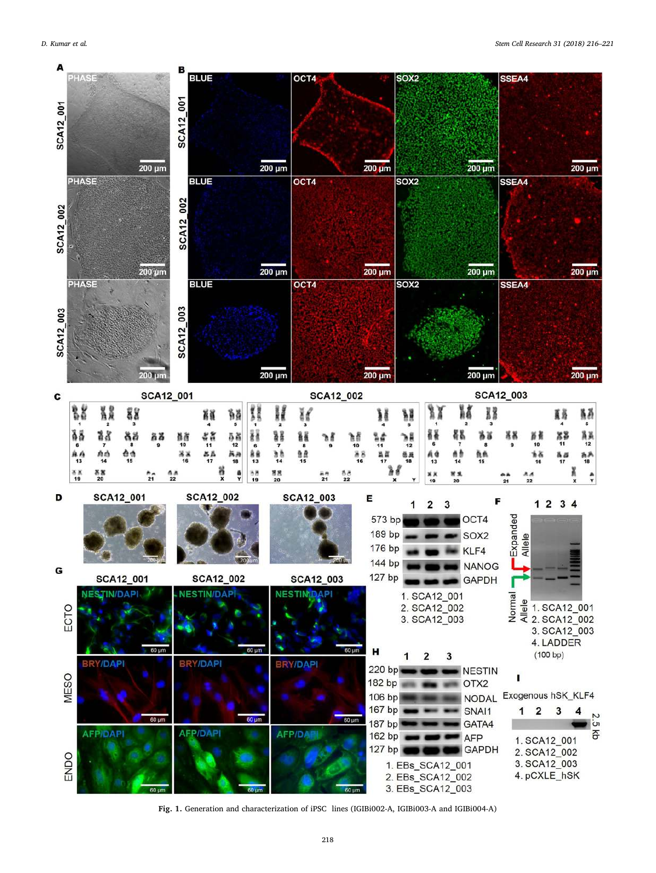

Fig. 1. Generation and characterization of iPSC lines (IGIBi002-A, IGIBi003-A and IGIBi004-A)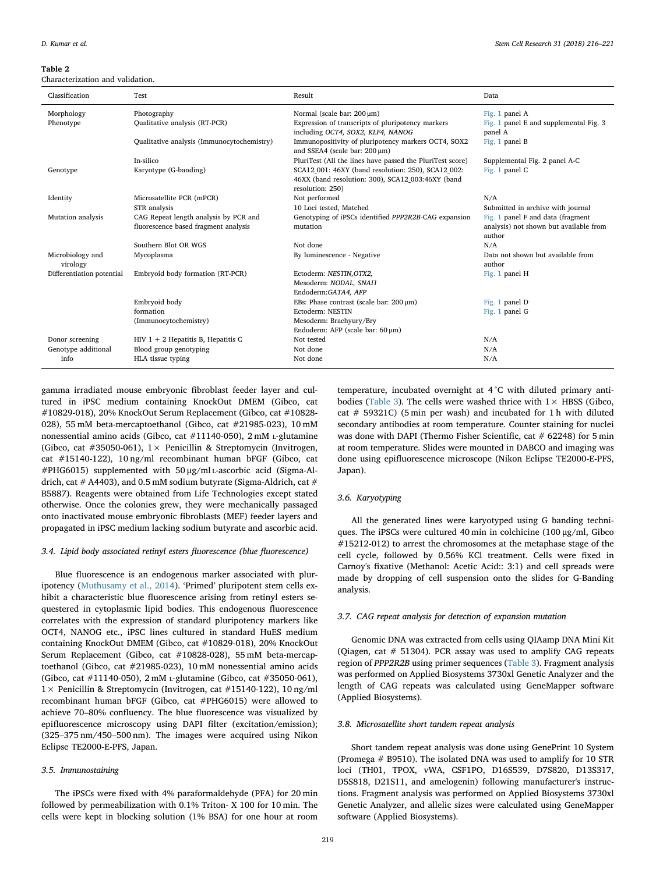#### Table 2

Characterization and validation.

| Classification               | Test                                                                          | Result                                                                                                                      | Data                                                                                  |
|------------------------------|-------------------------------------------------------------------------------|-----------------------------------------------------------------------------------------------------------------------------|---------------------------------------------------------------------------------------|
| Morphology<br>Phenotype      | Photography<br>Qualitative analysis (RT-PCR)                                  | Normal (scale bar: 200 µm)<br>Expression of transcripts of pluripotency markers                                             | Fig. 1 panel A<br>Fig. 1 panel E and supplemental Fig. 3                              |
|                              |                                                                               | including OCT4, SOX2, KLF4, NANOG                                                                                           | panel A                                                                               |
|                              | Qualitative analysis (Immunocytochemistry)                                    | Immunopositivity of pluripotency markers OCT4, SOX2<br>and SSEA4 (scale bar: 200 µm)                                        | Fig. 1 panel B                                                                        |
|                              | In-silico                                                                     | PluriTest (All the lines have passed the PluriTest score)                                                                   | Supplemental Fig. 2 panel A-C                                                         |
| Genotype                     | Karyotype (G-banding)                                                         | SCA12_001: 46XY (band resolution: 250), SCA12_002:<br>46XX (band resolution: 300), SCA12_003:46XY (band<br>resolution: 250) | Fig. 1 panel C                                                                        |
| Identity                     | Microsatellite PCR (mPCR)                                                     | Not performed                                                                                                               | N/A                                                                                   |
|                              | STR analysis                                                                  | 10 Loci tested. Matched                                                                                                     | Submitted in archive with journal                                                     |
| Mutation analysis            | CAG Repeat length analysis by PCR and<br>fluorescence based fragment analysis | Genotyping of iPSCs identified PPP2R2B-CAG expansion<br>mutation                                                            | Fig. 1 panel F and data (fragment<br>analysis) not shown but available from<br>author |
|                              | Southern Blot OR WGS                                                          | Not done                                                                                                                    | N/A                                                                                   |
| Microbiology and<br>virology | Mycoplasma                                                                    | By luminescence - Negative                                                                                                  | Data not shown but available from<br>author                                           |
| Differentiation potential    | Embryoid body formation (RT-PCR)                                              | Ectoderm: NESTIN, OTX2,<br>Mesoderm: NODAL, SNAI1<br>Endoderm:GATA4, AFP                                                    | Fig. 1 panel H                                                                        |
|                              | Embryoid body                                                                 | EBs: Phase contrast (scale bar: $200 \mu m$ )                                                                               | Fig. 1 panel D                                                                        |
|                              | formation                                                                     | Ectoderm: NESTIN                                                                                                            | Fig. 1 panel G                                                                        |
|                              | (Immunocytochemistry)                                                         | Mesoderm: Brachyury/Bry                                                                                                     |                                                                                       |
|                              |                                                                               | Endoderm: AFP (scale bar: 60 µm)                                                                                            |                                                                                       |
| Donor screening              | $HIV$ 1 + 2 Hepatitis B, Hepatitis C                                          | Not tested                                                                                                                  | N/A                                                                                   |
| Genotype additional          | Blood group genotyping                                                        | Not done                                                                                                                    | N/A                                                                                   |
| info                         | HLA tissue typing                                                             | Not done                                                                                                                    | N/A                                                                                   |

gamma irradiated mouse embryonic fibroblast feeder layer and cultured in iPSC medium containing KnockOut DMEM (Gibco, cat #10829-018), 20% KnockOut Serum Replacement (Gibco, cat #10828- 028), 55 mM beta-mercaptoethanol (Gibco, cat #21985-023), 10 mM nonessential amino acids (Gibco, cat #11140-050), 2 mM <sup>L</sup>-glutamine (Gibco, cat #35050-061),  $1 \times$  Penicillin & Streptomycin (Invitrogen, cat #15140-122), 10 ng/ml recombinant human bFGF (Gibco, cat #PHG6015) supplemented with 50 μg/ml <sup>L</sup>-ascorbic acid (Sigma-Aldrich, cat  $#$  A4403), and 0.5 mM sodium butyrate (Sigma-Aldrich, cat  $#$ B5887). Reagents were obtained from Life Technologies except stated otherwise. Once the colonies grew, they were mechanically passaged onto inactivated mouse embryonic fibroblasts (MEF) feeder layers and propagated in iPSC medium lacking sodium butyrate and ascorbic acid.

## *3.4. Lipid body associated retinyl esters* fl*uorescence (blue* fl*uorescence)*

Blue fluorescence is an endogenous marker associated with pluripotency (Muthusamy et al., 2014). 'Primed' pluripotent stem cells exhibit a characteristic blue fluorescence arising from retinyl esters sequestered in cytoplasmic lipid bodies. This endogenous fluorescence correlates with the expression of standard pluripotency markers like OCT4, NANOG etc., iPSC lines cultured in standard HuES medium containing KnockOut DMEM (Gibco, cat #10829-018), 20% KnockOut Serum Replacement (Gibco, cat #10828-028), 55 mM beta-mercaptoethanol (Gibco, cat #21985-023), 10 mM nonessential amino acids (Gibco, cat #11140-050), 2 mM <sup>L</sup>-glutamine (Gibco, cat #35050-061), 1× Penicillin & Streptomycin (Invitrogen, cat #15140-122), 10 ng/ml recombinant human bFGF (Gibco, cat #PHG6015) were allowed to achieve 70–80% confluency. The blue fluorescence was visualized by epifluorescence microscopy using DAPI filter (excitation/emission); (325–375 nm/450–500 nm). The images were acquired using Nikon Eclipse TE2000-E-PFS, Japan.

#### *3.5. Immunostaining*

The iPSCs were fixed with 4% paraformaldehyde (PFA) for 20 min followed by permeabilization with 0.1% Triton- X 100 for 10 min. The cells were kept in blocking solution (1% BSA) for one hour at room

temperature, incubated overnight at 4 °C with diluted primary antibodies (Table 3). The cells were washed thrice with  $1 \times$  HBSS (Gibco, cat # 59321C) (5 min per wash) and incubated for 1 h with diluted secondary antibodies at room temperature. Counter staining for nuclei was done with DAPI (Thermo Fisher Scientific, cat  $#62248$ ) for 5 min at room temperature. Slides were mounted in DABCO and imaging was done using epifluorescence microscope (Nikon Eclipse TE2000-E-PFS, Japan).

## *3.6. Karyotyping*

All the generated lines were karyotyped using G banding techniques. The iPSCs were cultured 40 min in colchicine (100 μg/ml, Gibco #15212-012) to arrest the chromosomes at the metaphase stage of the cell cycle, followed by 0.56% KCl treatment. Cells were fixed in Carnoy's fixative (Methanol: Acetic Acid:: 3:1) and cell spreads were made by dropping of cell suspension onto the slides for G-Banding analysis.

## *3.7. CAG repeat analysis for detection of expansion mutation*

Genomic DNA was extracted from cells using QIAamp DNA Mini Kit (Qiagen, cat # 51304). PCR assay was used to amplify CAG repeats region of *PPP2R2B* using primer sequences (Table 3). Fragment analysis was performed on Applied Biosystems 3730xl Genetic Analyzer and the length of CAG repeats was calculated using GeneMapper software (Applied Biosystems).

## *3.8. Microsatellite short tandem repeat analysis*

Short tandem repeat analysis was done using GenePrint 10 System (Promega # B9510). The isolated DNA was used to amplify for 10 STR loci (TH01, TPOX, vWA, CSF1PO, D16S539, D7S820, D13S317, D5S818, D21S11, and amelogenin) following manufacturer's instructions. Fragment analysis was performed on Applied Biosystems 3730xl Genetic Analyzer, and allelic sizes were calculated using GeneMapper software (Applied Biosystems).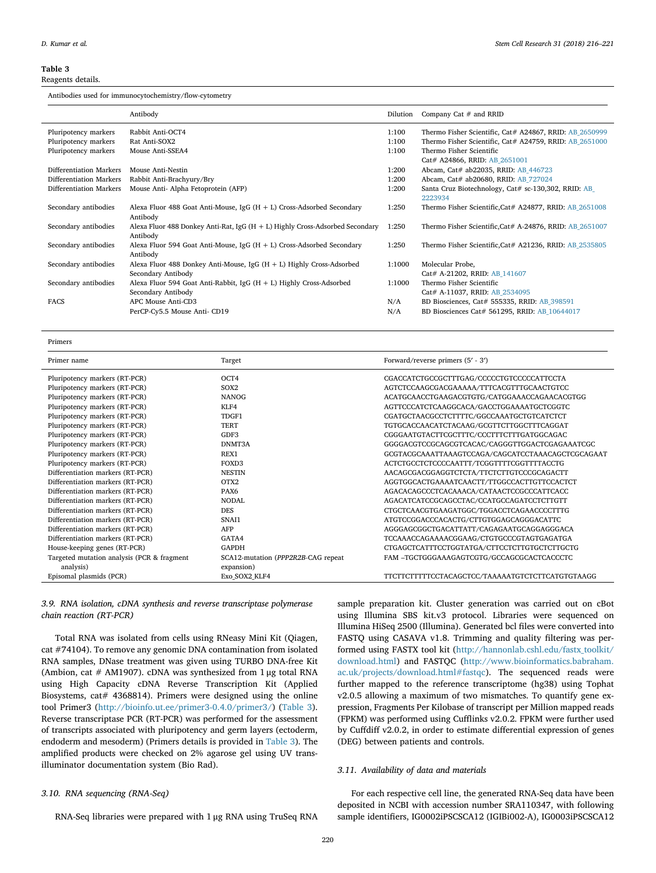#### Table 3

Reagents details.

Antibodies used for immunocytochemistry/flow-cytometry

|                         | Antibody                                                                       | Dilution | Company Cat $#$ and RRID                                       |
|-------------------------|--------------------------------------------------------------------------------|----------|----------------------------------------------------------------|
| Pluripotency markers    | Rabbit Anti-OCT4                                                               | 1:100    | Thermo Fisher Scientific, Cat# A24867, RRID: AB_2650999        |
| Pluripotency markers    | Rat Anti-SOX2                                                                  | 1:100    | Thermo Fisher Scientific, Cat# A24759, RRID: AB_2651000        |
| Pluripotency markers    | Mouse Anti-SSEA4                                                               | 1:100    | Thermo Fisher Scientific                                       |
|                         |                                                                                |          | Cat# A24866, RRID: AB 2651001                                  |
| Differentiation Markers | Mouse Anti-Nestin                                                              | 1:200    | Abcam, Cat# ab22035, RRID: AB 446723                           |
| Differentiation Markers | Rabbit Anti-Brachyury/Bry                                                      | 1:200    | Abcam, Cat# ab20680, RRID: AB 727024                           |
| Differentiation Markers | Mouse Anti- Alpha Fetoprotein (AFP)                                            | 1:200    | Santa Cruz Biotechnology, Cat# sc-130,302, RRID: AB<br>2223934 |
| Secondary antibodies    | Alexa Fluor 488 Goat Anti-Mouse, IgG $(H + L)$ Cross-Adsorbed Secondary        | 1:250    | Thermo Fisher Scientific, Cat# A24877, RRID: AB 2651008        |
|                         | Antibody                                                                       |          |                                                                |
| Secondary antibodies    | Alexa Fluor 488 Donkey Anti-Rat, IgG $(H + L)$ Highly Cross-Adsorbed Secondary | 1:250    | Thermo Fisher Scientific, Cat# A-24876, RRID: AB 2651007       |
|                         | Antibody                                                                       |          |                                                                |
| Secondary antibodies    | Alexa Fluor 594 Goat Anti-Mouse, IgG $(H + L)$ Cross-Adsorbed Secondary        | 1:250    | Thermo Fisher Scientific, Cat# A21236, RRID: AB 2535805        |
|                         | Antibody                                                                       |          |                                                                |
| Secondary antibodies    | Alexa Fluor 488 Donkey Anti-Mouse, IgG $(H + L)$ Highly Cross-Adsorbed         | 1:1000   | Molecular Probe,                                               |
|                         | Secondary Antibody                                                             |          | Cat# A-21202, RRID: AB 141607                                  |
| Secondary antibodies    | Alexa Fluor 594 Goat Anti-Rabbit, IgG (H + L) Highly Cross-Adsorbed            | 1:1000   | Thermo Fisher Scientific                                       |
|                         | Secondary Antibody                                                             |          | Cat# A-11037, RRID: AB 2534095                                 |
| <b>FACS</b>             | APC Mouse Anti-CD3                                                             | N/A      | BD Biosciences, Cat# 555335, RRID: AB_398591                   |
|                         | PerCP-Cy5.5 Mouse Anti- CD19                                                   | N/A      | BD Biosciences Cat# 561295, RRID: AB 10644017                  |
|                         |                                                                                |          |                                                                |

Primers

| Primer name                                | Target                             | Forward/reverse primers (5' - 3')                 |
|--------------------------------------------|------------------------------------|---------------------------------------------------|
| Pluripotency markers (RT-PCR)              | OCT4                               | CGACCATCTGCCGCTTTGAG/CCCCCTGTCCCCCATTCCTA         |
| Pluripotency markers (RT-PCR)              | SOX <sub>2</sub>                   | AGTCTCCAAGCGACGAAAAA/TTTCACGTTTGCAACTGTCC         |
| Pluripotency markers (RT-PCR)              | <b>NANOG</b>                       | ACATGCAACCTGAAGACGTGTG/CATGGAAACCAGAACACGTGG      |
| Pluripotency markers (RT-PCR)              | KLF4                               | AGTTCCCATCTCAAGGCACA/GACCTGGAAAATGCTCGGTC         |
| Pluripotency markers (RT-PCR)              | TDGF1                              | CGATGCTAACGCCTCTTTTC/GGCCAAATGCTGTCATCTCT         |
| Pluripotency markers (RT-PCR)              | <b>TERT</b>                        | TGTGCACCAACATCTACAAG/GCGTTCTTGGCTTTCAGGAT         |
| Pluripotency markers (RT-PCR)              | GDF3                               | CGGGAATGTACTTCGCTTTC/CCCTTTCTTTGATGGCAGAC         |
| Pluripotency markers (RT-PCR)              | DNMT3A                             | GGGGACGTCCGCAGCGTCACAC/CAGGGTTGGACTCGAGAAATCGC    |
| Pluripotency markers (RT-PCR)              | REX1                               | GCGTACGCAAATTAAAGTCCAGA/CAGCATCCTAAACAGCTCGCAGAAT |
| Pluripotency markers (RT-PCR)              | FOXD3                              | ACTCTGCCTCTCCCCAATTT/TCGGTTTTCGGTTTTACCTG         |
| Differentiation markers (RT-PCR)           | <b>NESTIN</b>                      | AACAGCGACGGAGGTCTCTA/TTCTCTTGTCCCGCAGACTT         |
| Differentiation markers (RT-PCR)           | OTX <sub>2</sub>                   | AGGTGGCACTGAAAATCAACTT/TTGGCCACTTGTTCCACTCT       |
| Differentiation markers (RT-PCR)           | PAX <sub>6</sub>                   | AGACACAGCCCTCACAAACA/CATAACTCCGCCCATTCACC         |
| Differentiation markers (RT-PCR)           | NODAI.                             | AGACATCATCCGCAGCCTAC/CCATGCCAGATCCTCTTGTT         |
| Differentiation markers (RT-PCR)           | <b>DES</b>                         | CTGCTCAACGTGAAGATGGC/TGGACCTCAGAACCCCTTTG         |
| Differentiation markers (RT-PCR)           | SNAI1                              | ATGTCCGGACCCACACTG/CTTGTGGAGCAGGGACATTC           |
| Differentiation markers (RT-PCR)           | AFP                                | AGGGAGCGGCTGACATTATT/CAGAGAATGCAGGAGGACA          |
| Differentiation markers (RT-PCR)           | GATA4                              | TCCAAACCAGAAAACGGAAG/CTGTGCCCGTAGTGAGATGA         |
| House-keeping genes (RT-PCR)               | <b>GAPDH</b>                       | CTGAGCTCATTTCCTGGTATGA/CTTCCTCTTGTGCTCTTGCTG      |
| Targeted mutation analysis (PCR & fragment | SCA12-mutation (PPP2R2B-CAG repeat | FAM -TGCTGGGAAAGAGTCGTG/GCCAGCGCACTCACCCTC        |
| analysis)                                  | expansion)                         |                                                   |
| Episomal plasmids (PCR)                    | Exo SOX2 KLF4                      | TTCTTCTTTTTCCTACAGCTCC/TAAAAATGTCTCTTCATGTGTAAGG  |

## *3.9. RNA isolation, cDNA synthesis and reverse transcriptase polymerase chain reaction (RT-PCR)*

Total RNA was isolated from cells using RNeasy Mini Kit (Qiagen, cat #74104). To remove any genomic DNA contamination from isolated RNA samples, DNase treatment was given using TURBO DNA-free Kit (Ambion, cat # AM1907). cDNA was synthesized from 1 μg total RNA using High Capacity cDNA Reverse Transcription Kit (Applied Biosystems, cat# 4368814). Primers were designed using the online tool Primer3 (http://bioinfo.ut.ee/primer3-0.4.0/primer3/) (Table 3). Reverse transcriptase PCR (RT-PCR) was performed for the assessment of transcripts associated with pluripotency and germ layers (ectoderm, endoderm and mesoderm) (Primers details is provided in Table 3). The amplified products were checked on 2% agarose gel using UV transilluminator documentation system (Bio Rad).

## *3.10. RNA sequencing (RNA-Seq)*

RNA-Seq libraries were prepared with 1 μg RNA using TruSeq RNA

sample preparation kit. Cluster generation was carried out on cBot using Illumina SBS kit.v3 protocol. Libraries were sequenced on Illumina HiSeq 2500 (Illumina). Generated bcl files were converted into FASTQ using CASAVA v1.8. Trimming and quality filtering was performed using FASTX tool kit (http://hannonlab.cshl.edu/fastx\_toolkit/ download.html) and FASTQC (http://www.bioinformatics.babraham. ac.uk/projects/download.html#fastqc). The sequenced reads were further mapped to the reference transcriptome (hg38) using Tophat v2.0.5 allowing a maximum of two mismatches. To quantify gene expression, Fragments Per Kilobase of transcript per Million mapped reads (FPKM) was performed using Cufflinks v2.0.2. FPKM were further used by Cuffdiff v2.0.2, in order to estimate differential expression of genes (DEG) between patients and controls.

#### *3.11. Availability of data and materials*

For each respective cell line, the generated RNA-Seq data have been deposited in NCBI with accession number SRA110347, with following sample identifiers, IG0002iPSCSCA12 (IGIBi002-A), IG0003iPSCSCA12